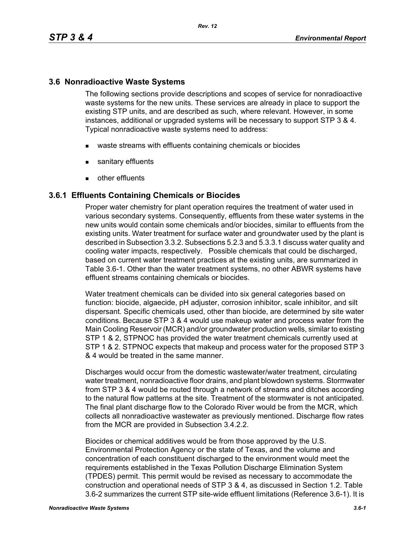### **3.6 Nonradioactive Waste Systems**

The following sections provide descriptions and scopes of service for nonradioactive waste systems for the new units. These services are already in place to support the existing STP units, and are described as such, where relevant. However, in some instances, additional or upgraded systems will be necessary to support STP 3 & 4. Typical nonradioactive waste systems need to address:

- waste streams with effluents containing chemicals or biocides
- sanitary effluents
- **other effluents**

### **3.6.1 Effluents Containing Chemicals or Biocides**

Proper water chemistry for plant operation requires the treatment of water used in various secondary systems. Consequently, effluents from these water systems in the new units would contain some chemicals and/or biocides, similar to effluents from the existing units. Water treatment for surface water and groundwater used by the plant is described in Subsection 3.3.2. Subsections 5.2.3 and 5.3.3.1 discuss water quality and cooling water impacts, respectively. Possible chemicals that could be discharged, based on current water treatment practices at the existing units, are summarized in Table 3.6-1. Other than the water treatment systems, no other ABWR systems have effluent streams containing chemicals or biocides.

Water treatment chemicals can be divided into six general categories based on function: biocide, algaecide, pH adjuster, corrosion inhibitor, scale inhibitor, and silt dispersant. Specific chemicals used, other than biocide, are determined by site water conditions. Because STP 3 & 4 would use makeup water and process water from the Main Cooling Reservoir (MCR) and/or groundwater production wells, similar to existing STP 1 & 2, STPNOC has provided the water treatment chemicals currently used at STP 1 & 2. STPNOC expects that makeup and process water for the proposed STP 3 & 4 would be treated in the same manner.

Discharges would occur from the domestic wastewater/water treatment, circulating water treatment, nonradioactive floor drains, and plant blowdown systems. Stormwater from STP 3 & 4 would be routed through a network of streams and ditches according to the natural flow patterns at the site. Treatment of the stormwater is not anticipated. The final plant discharge flow to the Colorado River would be from the MCR, which collects all nonradioactive wastewater as previously mentioned. Discharge flow rates from the MCR are provided in Subsection 3.4.2.2.

Biocides or chemical additives would be from those approved by the U.S. Environmental Protection Agency or the state of Texas, and the volume and concentration of each constituent discharged to the environment would meet the requirements established in the Texas Pollution Discharge Elimination System (TPDES) permit. This permit would be revised as necessary to accommodate the construction and operational needs of STP 3 & 4, as discussed in Section 1.2. Table 3.6-2 summarizes the current STP site-wide effluent limitations (Reference 3.6-1). It is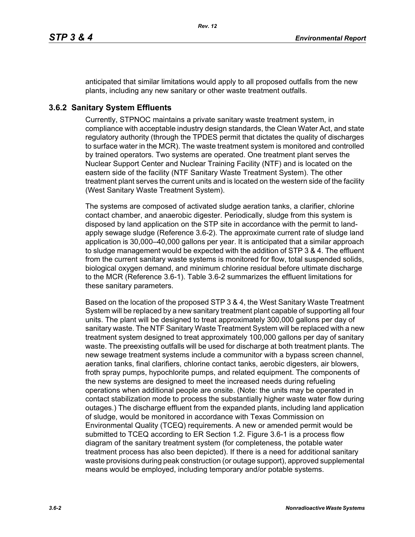anticipated that similar limitations would apply to all proposed outfalls from the new plants, including any new sanitary or other waste treatment outfalls.

# **3.6.2 Sanitary System Effluents**

Currently, STPNOC maintains a private sanitary waste treatment system, in compliance with acceptable industry design standards, the Clean Water Act, and state regulatory authority (through the TPDES permit that dictates the quality of discharges to surface water in the MCR). The waste treatment system is monitored and controlled by trained operators. Two systems are operated. One treatment plant serves the Nuclear Support Center and Nuclear Training Facility (NTF) and is located on the eastern side of the facility (NTF Sanitary Waste Treatment System). The other treatment plant serves the current units and is located on the western side of the facility (West Sanitary Waste Treatment System).

The systems are composed of activated sludge aeration tanks, a clarifier, chlorine contact chamber, and anaerobic digester. Periodically, sludge from this system is disposed by land application on the STP site in accordance with the permit to landapply sewage sludge (Reference 3.6-2). The approximate current rate of sludge land application is 30,000–40,000 gallons per year. It is anticipated that a similar approach to sludge management would be expected with the addition of STP 3 & 4. The effluent from the current sanitary waste systems is monitored for flow, total suspended solids, biological oxygen demand, and minimum chlorine residual before ultimate discharge to the MCR (Reference 3.6-1). Table 3.6-2 summarizes the effluent limitations for these sanitary parameters.

Based on the location of the proposed STP 3 & 4, the West Sanitary Waste Treatment System will be replaced by a new sanitary treatment plant capable of supporting all four units. The plant will be designed to treat approximately 300,000 gallons per day of sanitary waste. The NTF Sanitary Waste Treatment System will be replaced with a new treatment system designed to treat approximately 100,000 gallons per day of sanitary waste. The preexisting outfalls will be used for discharge at both treatment plants. The new sewage treatment systems include a communitor with a bypass screen channel, aeration tanks, final clarifiers, chlorine contact tanks, aerobic digesters, air blowers, froth spray pumps, hypochlorite pumps, and related equipment. The components of the new systems are designed to meet the increased needs during refueling operations when additional people are onsite. (Note: the units may be operated in contact stabilization mode to process the substantially higher waste water flow during outages.) The discharge effluent from the expanded plants, including land application of sludge, would be monitored in accordance with Texas Commission on Environmental Quality (TCEQ) requirements. A new or amended permit would be submitted to TCEQ according to ER Section 1.2. Figure 3.6-1 is a process flow diagram of the sanitary treatment system (for completeness, the potable water treatment process has also been depicted). If there is a need for additional sanitary waste provisions during peak construction (or outage support), approved supplemental means would be employed, including temporary and/or potable systems.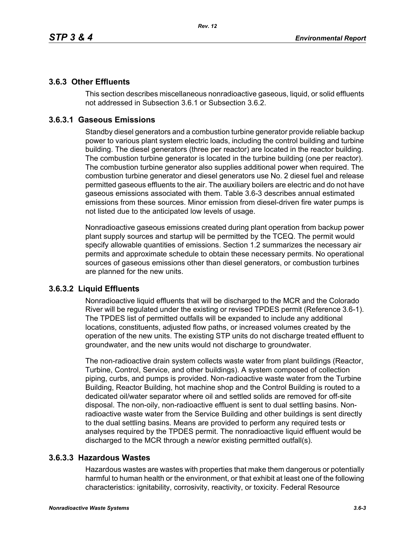# **3.6.3 Other Effluents**

This section describes miscellaneous nonradioactive gaseous, liquid, or solid effluents not addressed in Subsection 3.6.1 or Subsection 3.6.2.

# **3.6.3.1 Gaseous Emissions**

Standby diesel generators and a combustion turbine generator provide reliable backup power to various plant system electric loads, including the control building and turbine building. The diesel generators (three per reactor) are located in the reactor building. The combustion turbine generator is located in the turbine building (one per reactor). The combustion turbine generator also supplies additional power when required. The combustion turbine generator and diesel generators use No. 2 diesel fuel and release permitted gaseous effluents to the air. The auxiliary boilers are electric and do not have gaseous emissions associated with them. Table 3.6-3 describes annual estimated emissions from these sources. Minor emission from diesel-driven fire water pumps is not listed due to the anticipated low levels of usage.

Nonradioactive gaseous emissions created during plant operation from backup power plant supply sources and startup will be permitted by the TCEQ. The permit would specify allowable quantities of emissions. Section 1.2 summarizes the necessary air permits and approximate schedule to obtain these necessary permits. No operational sources of gaseous emissions other than diesel generators, or combustion turbines are planned for the new units.

## **3.6.3.2 Liquid Effluents**

Nonradioactive liquid effluents that will be discharged to the MCR and the Colorado River will be regulated under the existing or revised TPDES permit (Reference 3.6-1). The TPDES list of permitted outfalls will be expanded to include any additional locations, constituents, adjusted flow paths, or increased volumes created by the operation of the new units. The existing STP units do not discharge treated effluent to groundwater, and the new units would not discharge to groundwater.

The non-radioactive drain system collects waste water from plant buildings (Reactor, Turbine, Control, Service, and other buildings). A system composed of collection piping, curbs, and pumps is provided. Non-radioactive waste water from the Turbine Building, Reactor Building, hot machine shop and the Control Building is routed to a dedicated oil/water separator where oil and settled solids are removed for off-site disposal. The non-oily, non-radioactive effluent is sent to dual settling basins. Nonradioactive waste water from the Service Building and other buildings is sent directly to the dual settling basins. Means are provided to perform any required tests or analyses required by the TPDES permit. The nonradioactive liquid effluent would be discharged to the MCR through a new/or existing permitted outfall(s).

## **3.6.3.3 Hazardous Wastes**

Hazardous wastes are wastes with properties that make them dangerous or potentially harmful to human health or the environment, or that exhibit at least one of the following characteristics: ignitability, corrosivity, reactivity, or toxicity. Federal Resource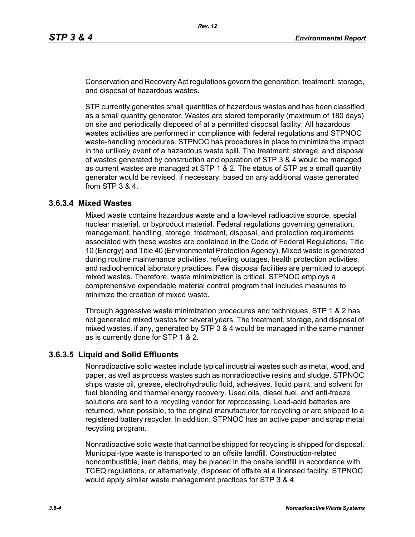Conservation and Recovery Act regulations govern the generation, treatment, storage, and disposal of hazardous wastes.

STP currently generates small quantities of hazardous wastes and has been classified as a small quantity generator. Wastes are stored temporarily (maximum of 180 days) on site and periodically disposed of at a permitted disposal facility. All hazardous wastes activities are performed in compliance with federal regulations and STPNOC waste-handling procedures. STPNOC has procedures in place to minimize the impact in the unlikely event of a hazardous waste spill. The treatment, storage, and disposal of wastes generated by construction and operation of STP 3 & 4 would be managed as current wastes are managed at STP 1 & 2. The status of STP as a small quantity generator would be revised, if necessary, based on any additional waste generated from STP 3 & 4.

#### **3.6.3.4 Mixed Wastes**

Mixed waste contains hazardous waste and a low-level radioactive source, special nuclear material, or byproduct material. Federal regulations governing generation, management, handling, storage, treatment, disposal, and protection requirements associated with these wastes are contained in the Code of Federal Regulations, Title 10 (Energy) and Title 40 (Environmental Protection Agency). Mixed waste is generated during routine maintenance activities, refueling outages, health protection activities, and radiochemical laboratory practices. Few disposal facilities are permitted to accept mixed wastes. Therefore, waste minimization is critical. STPNOC employs a comprehensive expendable material control program that includes measures to minimize the creation of mixed waste.

Through aggressive waste minimization procedures and techniques, STP 1 & 2 has not generated mixed wastes for several years. The treatment, storage, and disposal of mixed wastes, if any, generated by STP 3 & 4 would be managed in the same manner as is currently done for STP 1 & 2.

#### **3.6.3.5 Liquid and Solid Effluents**

Nonradioactive solid wastes include typical industrial wastes such as metal, wood, and paper, as well as process wastes such as nonradioactive resins and sludge. STPNOC ships waste oil, grease, electrohydraulic fluid, adhesives, liquid paint, and solvent for fuel blending and thermal energy recovery. Used oils, diesel fuel, and anti-freeze solutions are sent to a recycling vendor for reprocessing. Lead-acid batteries are returned, when possible, to the original manufacturer for recycling or are shipped to a registered battery recycler. In addition, STPNOC has an active paper and scrap metal recycling program.

Nonradioactive solid waste that cannot be shipped for recycling is shipped for disposal. Municipal-type waste is transported to an offsite landfill. Construction-related noncombustible, inert debris, may be placed in the onsite landfill in accordance with TCEQ regulations, or alternatively, disposed of offsite at a licensed facility. STPNOC would apply similar waste management practices for STP 3 & 4.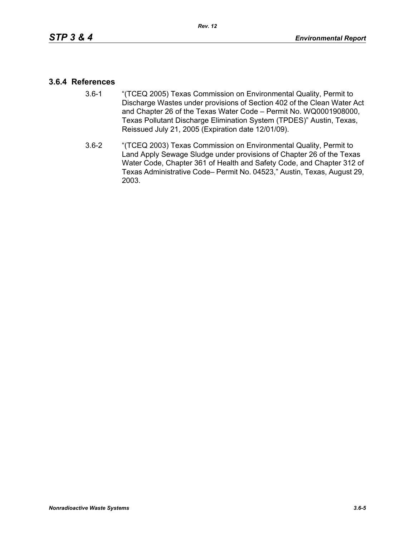### **3.6.4 References**

- 3.6-1 "(TCEQ 2005) Texas Commission on Environmental Quality, Permit to Discharge Wastes under provisions of Section 402 of the Clean Water Act and Chapter 26 of the Texas Water Code – Permit No. WQ0001908000, Texas Pollutant Discharge Elimination System (TPDES)" Austin, Texas, Reissued July 21, 2005 (Expiration date 12/01/09).
- 3.6-2 "(TCEQ 2003) Texas Commission on Environmental Quality, Permit to Land Apply Sewage Sludge under provisions of Chapter 26 of the Texas Water Code, Chapter 361 of Health and Safety Code, and Chapter 312 of Texas Administrative Code– Permit No. 04523," Austin, Texas, August 29, 2003.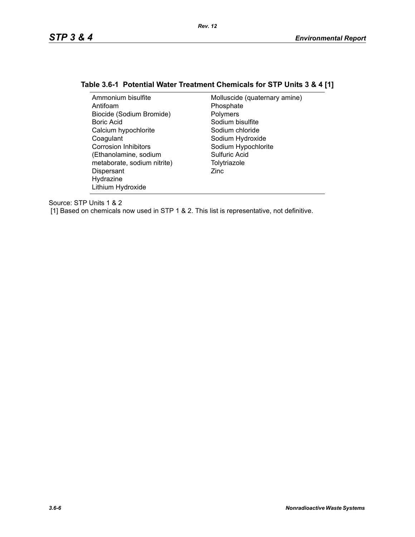# **Table 3.6-1 Potential Water Treatment Chemicals for STP Units 3 & 4 [1]**

| Ammonium bisulfite          | Molluscide (quaternary amine) |
|-----------------------------|-------------------------------|
| Antifoam                    | Phosphate                     |
| Biocide (Sodium Bromide)    | Polymers                      |
| Boric Acid                  | Sodium bisulfite              |
| Calcium hypochlorite        | Sodium chloride               |
| Coagulant                   | Sodium Hydroxide              |
| <b>Corrosion Inhibitors</b> | Sodium Hypochlorite           |
| (Ethanolamine, sodium       | Sulfuric Acid                 |
| metaborate, sodium nitrite) | Tolytriazole                  |
| Dispersant                  | Zinc                          |
| Hydrazine                   |                               |
| Lithium Hydroxide           |                               |

Source: STP Units 1 & 2

[1] Based on chemicals now used in STP 1 & 2. This list is representative, not definitive.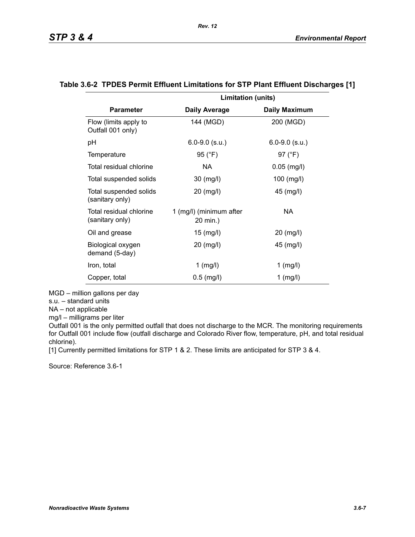|                                            | <b>Limitation (units)</b>           |                      |
|--------------------------------------------|-------------------------------------|----------------------|
| <b>Parameter</b>                           | <b>Daily Average</b>                | <b>Daily Maximum</b> |
| Flow (limits apply to<br>Outfall 001 only) | 144 (MGD)                           | 200 (MGD)            |
| рH                                         | $6.0 - 9.0$ (s.u.)                  | $6.0 - 9.0$ (s.u.)   |
| Temperature                                | 95 (°F)                             | 97 (°F)              |
| Total residual chlorine                    | NA.                                 | $0.05$ (mg/l)        |
| Total suspended solids                     | 30 (mg/l)                           | $100$ (mg/l)         |
| Total suspended solids<br>(sanitary only)  | 20 (mg/l)                           | 45 (mg/l)            |
| Total residual chlorine<br>(sanitary only) | 1 (mg/l) (minimum after<br>20 min.) | NA.                  |
| Oil and grease                             | $15 \ (mg/l)$                       | 20 (mg/l)            |
| Biological oxygen<br>demand (5-day)        | 20 (mg/l)                           | 45 (mg/l)            |
| Iron, total                                | $1$ (mg/l)                          | $1$ (mg/l)           |
| Copper, total                              | $0.5$ (mg/l)                        | $1$ (mg/l)           |

#### **Table 3.6-2 TPDES Permit Effluent Limitations for STP Plant Effluent Discharges [1]**

MGD – million gallons per day

s.u. – standard units

NA – not applicable

mg/l – milligrams per liter

Outfall 001 is the only permitted outfall that does not discharge to the MCR. The monitoring requirements for Outfall 001 include flow (outfall discharge and Colorado River flow, temperature, pH, and total residual chlorine).

[1] Currently permitted limitations for STP 1 & 2. These limits are anticipated for STP 3 & 4.

Source: Reference 3.6-1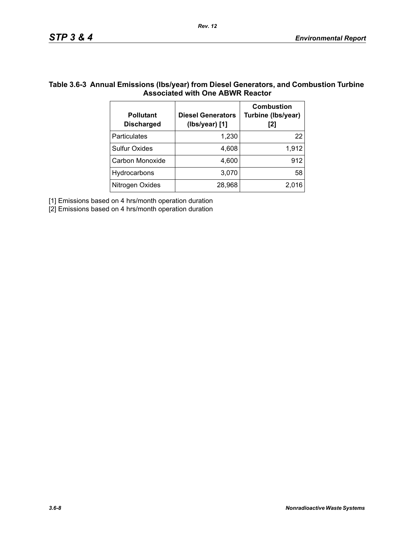## **Table 3.6-3 Annual Emissions (lbs/year) from Diesel Generators, and Combustion Turbine Associated with One ABWR Reactor**

| <b>Pollutant</b><br><b>Discharged</b> | <b>Diesel Generators</b><br>(Ibs/year) [1] | <b>Combustion</b><br>Turbine (Ibs/year)<br>[2] |
|---------------------------------------|--------------------------------------------|------------------------------------------------|
| Particulates                          | 1,230                                      | 22                                             |
| <b>Sulfur Oxides</b>                  | 4,608                                      | 1,912                                          |
| Carbon Monoxide                       | 4,600                                      | 912                                            |
| Hydrocarbons                          | 3,070                                      | 58                                             |
| Nitrogen Oxides                       | 28,968                                     | 2,016                                          |

[1] Emissions based on 4 hrs/month operation duration

[2] Emissions based on 4 hrs/month operation duration